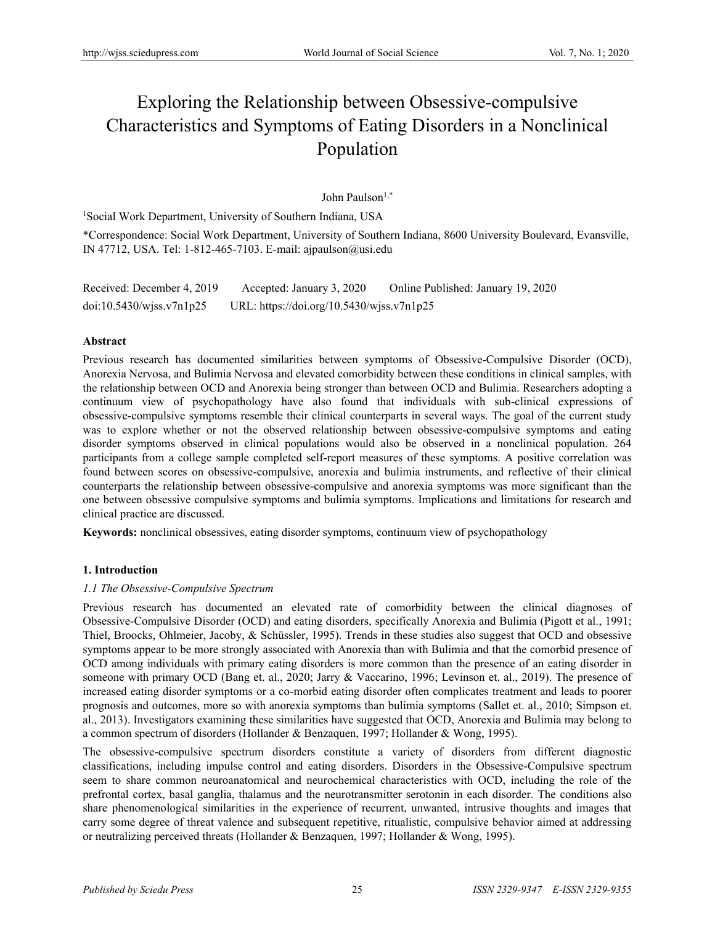# Exploring the Relationship between Obsessive-compulsive Characteristics and Symptoms of Eating Disorders in a Nonclinical Population

John Paulson<sup>1,\*</sup>

<sup>1</sup>Social Work Department, University of Southern Indiana, USA

\*Correspondence: Social Work Department, University of Southern Indiana, 8600 University Boulevard, Evansville, IN 47712, USA. Tel: 1-812-465-7103. E-mail: ajpaulson@usi.edu

Received: December 4, 2019 Accepted: January 3, 2020 Online Published: January 19, 2020 doi:10.5430/wjss.v7n1p25 URL: https://doi.org/10.5430/wjss.v7n1p25

# **Abstract**

Previous research has documented similarities between symptoms of Obsessive-Compulsive Disorder (OCD), Anorexia Nervosa, and Bulimia Nervosa and elevated comorbidity between these conditions in clinical samples, with the relationship between OCD and Anorexia being stronger than between OCD and Bulimia. Researchers adopting a continuum view of psychopathology have also found that individuals with sub-clinical expressions of obsessive-compulsive symptoms resemble their clinical counterparts in several ways. The goal of the current study was to explore whether or not the observed relationship between obsessive-compulsive symptoms and eating disorder symptoms observed in clinical populations would also be observed in a nonclinical population. 264 participants from a college sample completed self-report measures of these symptoms. A positive correlation was found between scores on obsessive-compulsive, anorexia and bulimia instruments, and reflective of their clinical counterparts the relationship between obsessive-compulsive and anorexia symptoms was more significant than the one between obsessive compulsive symptoms and bulimia symptoms. Implications and limitations for research and clinical practice are discussed.

**Keywords:** nonclinical obsessives, eating disorder symptoms, continuum view of psychopathology

# **1. Introduction**

# *1.1 The Obsessive-Compulsive Spectrum*

Previous research has documented an elevated rate of comorbidity between the clinical diagnoses of Obsessive-Compulsive Disorder (OCD) and eating disorders, specifically Anorexia and Bulimia (Pigott et al., 1991; Thiel, Broocks, Ohlmeier, Jacoby, & Schüssler, 1995). Trends in these studies also suggest that OCD and obsessive symptoms appear to be more strongly associated with Anorexia than with Bulimia and that the comorbid presence of OCD among individuals with primary eating disorders is more common than the presence of an eating disorder in someone with primary OCD (Bang et. al., 2020; Jarry & Vaccarino, 1996; Levinson et. al., 2019). The presence of increased eating disorder symptoms or a co-morbid eating disorder often complicates treatment and leads to poorer prognosis and outcomes, more so with anorexia symptoms than bulimia symptoms (Sallet et. al., 2010; Simpson et. al., 2013). Investigators examining these similarities have suggested that OCD, Anorexia and Bulimia may belong to a common spectrum of disorders (Hollander & Benzaquen, 1997; Hollander & Wong, 1995).

The obsessive-compulsive spectrum disorders constitute a variety of disorders from different diagnostic classifications, including impulse control and eating disorders. Disorders in the Obsessive-Compulsive spectrum seem to share common neuroanatomical and neurochemical characteristics with OCD, including the role of the prefrontal cortex, basal ganglia, thalamus and the neurotransmitter serotonin in each disorder. The conditions also share phenomenological similarities in the experience of recurrent, unwanted, intrusive thoughts and images that carry some degree of threat valence and subsequent repetitive, ritualistic, compulsive behavior aimed at addressing or neutralizing perceived threats (Hollander & Benzaquen, 1997; Hollander & Wong, 1995).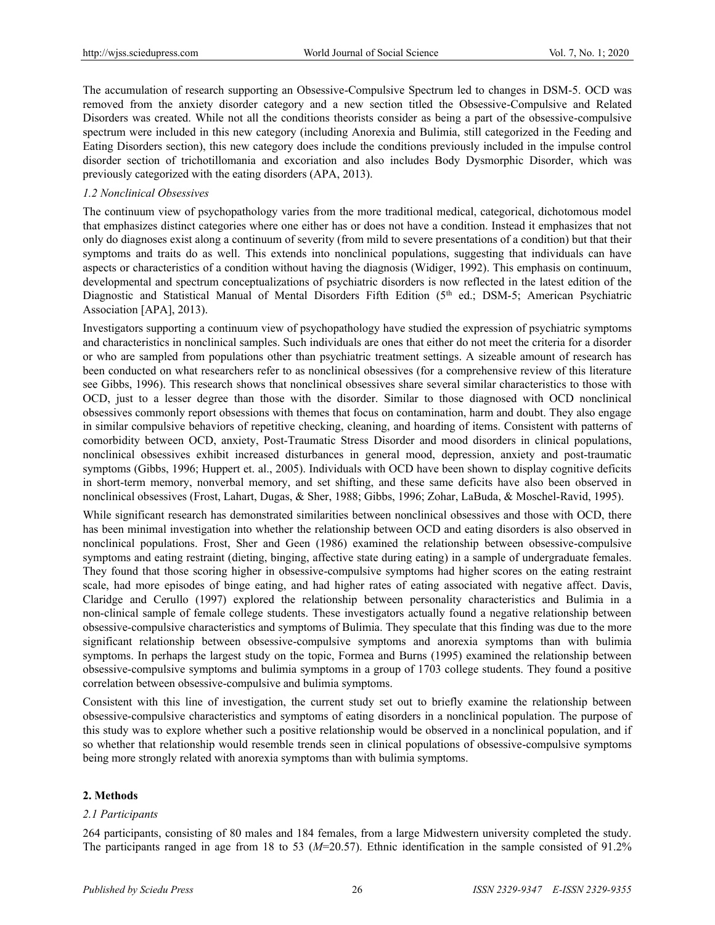The accumulation of research supporting an Obsessive-Compulsive Spectrum led to changes in DSM-5. OCD was removed from the anxiety disorder category and a new section titled the Obsessive-Compulsive and Related Disorders was created. While not all the conditions theorists consider as being a part of the obsessive-compulsive spectrum were included in this new category (including Anorexia and Bulimia, still categorized in the Feeding and Eating Disorders section), this new category does include the conditions previously included in the impulse control disorder section of trichotillomania and excoriation and also includes Body Dysmorphic Disorder, which was previously categorized with the eating disorders (APA, 2013).

#### *1.2 Nonclinical Obsessives*

The continuum view of psychopathology varies from the more traditional medical, categorical, dichotomous model that emphasizes distinct categories where one either has or does not have a condition. Instead it emphasizes that not only do diagnoses exist along a continuum of severity (from mild to severe presentations of a condition) but that their symptoms and traits do as well. This extends into nonclinical populations, suggesting that individuals can have aspects or characteristics of a condition without having the diagnosis (Widiger, 1992). This emphasis on continuum, developmental and spectrum conceptualizations of psychiatric disorders is now reflected in the latest edition of the Diagnostic and Statistical Manual of Mental Disorders Fifth Edition (5<sup>th</sup> ed.; DSM-5; American Psychiatric Association [APA], 2013).

Investigators supporting a continuum view of psychopathology have studied the expression of psychiatric symptoms and characteristics in nonclinical samples. Such individuals are ones that either do not meet the criteria for a disorder or who are sampled from populations other than psychiatric treatment settings. A sizeable amount of research has been conducted on what researchers refer to as nonclinical obsessives (for a comprehensive review of this literature see Gibbs, 1996). This research shows that nonclinical obsessives share several similar characteristics to those with OCD, just to a lesser degree than those with the disorder. Similar to those diagnosed with OCD nonclinical obsessives commonly report obsessions with themes that focus on contamination, harm and doubt. They also engage in similar compulsive behaviors of repetitive checking, cleaning, and hoarding of items. Consistent with patterns of comorbidity between OCD, anxiety, Post-Traumatic Stress Disorder and mood disorders in clinical populations, nonclinical obsessives exhibit increased disturbances in general mood, depression, anxiety and post-traumatic symptoms (Gibbs, 1996; Huppert et. al., 2005). Individuals with OCD have been shown to display cognitive deficits in short-term memory, nonverbal memory, and set shifting, and these same deficits have also been observed in nonclinical obsessives (Frost, Lahart, Dugas, & Sher, 1988; Gibbs, 1996; Zohar, LaBuda, & Moschel-Ravid, 1995).

While significant research has demonstrated similarities between nonclinical obsessives and those with OCD, there has been minimal investigation into whether the relationship between OCD and eating disorders is also observed in nonclinical populations. Frost, Sher and Geen (1986) examined the relationship between obsessive-compulsive symptoms and eating restraint (dieting, binging, affective state during eating) in a sample of undergraduate females. They found that those scoring higher in obsessive-compulsive symptoms had higher scores on the eating restraint scale, had more episodes of binge eating, and had higher rates of eating associated with negative affect. Davis, Claridge and Cerullo (1997) explored the relationship between personality characteristics and Bulimia in a non-clinical sample of female college students. These investigators actually found a negative relationship between obsessive-compulsive characteristics and symptoms of Bulimia. They speculate that this finding was due to the more significant relationship between obsessive-compulsive symptoms and anorexia symptoms than with bulimia symptoms. In perhaps the largest study on the topic, Formea and Burns (1995) examined the relationship between obsessive-compulsive symptoms and bulimia symptoms in a group of 1703 college students. They found a positive correlation between obsessive-compulsive and bulimia symptoms.

Consistent with this line of investigation, the current study set out to briefly examine the relationship between obsessive-compulsive characteristics and symptoms of eating disorders in a nonclinical population. The purpose of this study was to explore whether such a positive relationship would be observed in a nonclinical population, and if so whether that relationship would resemble trends seen in clinical populations of obsessive-compulsive symptoms being more strongly related with anorexia symptoms than with bulimia symptoms.

# **2. Methods**

#### *2.1 Participants*

264 participants, consisting of 80 males and 184 females, from a large Midwestern university completed the study. The participants ranged in age from 18 to 53 ( $M=20.57$ ). Ethnic identification in the sample consisted of 91.2%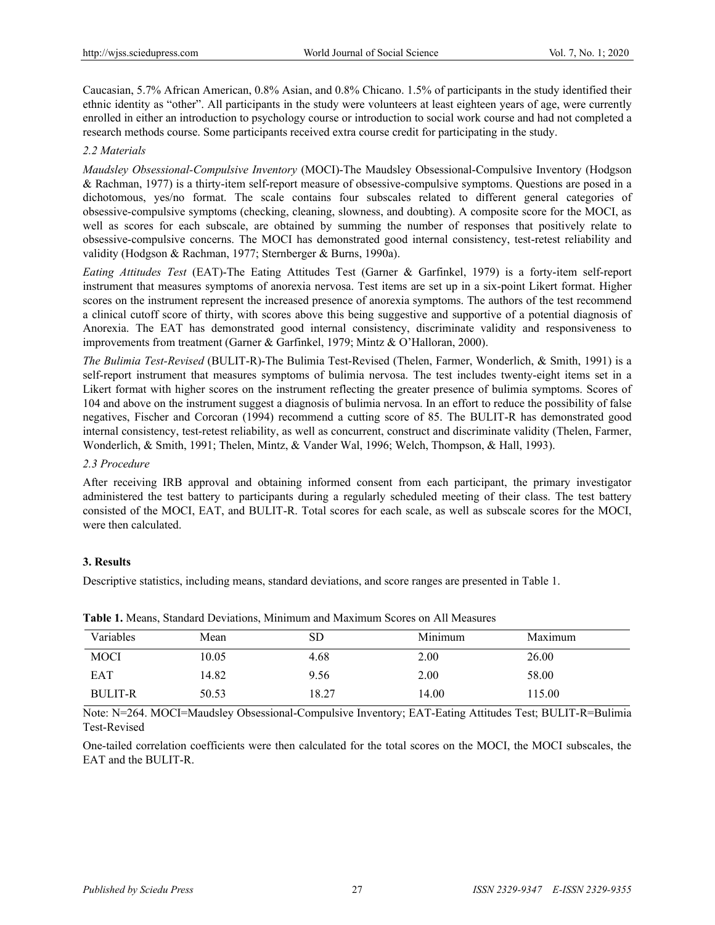Caucasian, 5.7% African American, 0.8% Asian, and 0.8% Chicano. 1.5% of participants in the study identified their ethnic identity as "other". All participants in the study were volunteers at least eighteen years of age, were currently enrolled in either an introduction to psychology course or introduction to social work course and had not completed a research methods course. Some participants received extra course credit for participating in the study.

# *2.2 Materials*

*Maudsley Obsessional-Compulsive Inventory* (MOCI)-The Maudsley Obsessional-Compulsive Inventory (Hodgson & Rachman, 1977) is a thirty-item self-report measure of obsessive-compulsive symptoms. Questions are posed in a dichotomous, yes/no format. The scale contains four subscales related to different general categories of obsessive-compulsive symptoms (checking, cleaning, slowness, and doubting). A composite score for the MOCI, as well as scores for each subscale, are obtained by summing the number of responses that positively relate to obsessive-compulsive concerns. The MOCI has demonstrated good internal consistency, test-retest reliability and validity (Hodgson & Rachman, 1977; Sternberger & Burns, 1990a).

*Eating Attitudes Test* (EAT)-The Eating Attitudes Test (Garner & Garfinkel, 1979) is a forty-item self-report instrument that measures symptoms of anorexia nervosa. Test items are set up in a six-point Likert format. Higher scores on the instrument represent the increased presence of anorexia symptoms. The authors of the test recommend a clinical cutoff score of thirty, with scores above this being suggestive and supportive of a potential diagnosis of Anorexia. The EAT has demonstrated good internal consistency, discriminate validity and responsiveness to improvements from treatment (Garner & Garfinkel, 1979; Mintz & O'Halloran, 2000).

*The Bulimia Test-Revised* (BULIT-R)-The Bulimia Test-Revised (Thelen, Farmer, Wonderlich, & Smith, 1991) is a self-report instrument that measures symptoms of bulimia nervosa. The test includes twenty-eight items set in a Likert format with higher scores on the instrument reflecting the greater presence of bulimia symptoms. Scores of 104 and above on the instrument suggest a diagnosis of bulimia nervosa. In an effort to reduce the possibility of false negatives, Fischer and Corcoran (1994) recommend a cutting score of 85. The BULIT-R has demonstrated good internal consistency, test-retest reliability, as well as concurrent, construct and discriminate validity (Thelen, Farmer, Wonderlich, & Smith, 1991; Thelen, Mintz, & Vander Wal, 1996; Welch, Thompson, & Hall, 1993).

# *2.3 Procedure*

After receiving IRB approval and obtaining informed consent from each participant, the primary investigator administered the test battery to participants during a regularly scheduled meeting of their class. The test battery consisted of the MOCI, EAT, and BULIT-R. Total scores for each scale, as well as subscale scores for the MOCI, were then calculated.

# **3. Results**

Descriptive statistics, including means, standard deviations, and score ranges are presented in Table 1.

| Variables      | Mean  | SD    | Minimum | Maximum |
|----------------|-------|-------|---------|---------|
| <b>MOCI</b>    | 10.05 | 4.68  | 2.00    | 26.00   |
| EAT            | 14.82 | 9.56  | 2.00    | 58.00   |
| <b>BULIT-R</b> | 50.53 | 18.27 | 14.00   | 115.00  |

| Table 1. Means, Standard Deviations, Minimum and Maximum Scores on All Measures |  |  |  |  |
|---------------------------------------------------------------------------------|--|--|--|--|
|---------------------------------------------------------------------------------|--|--|--|--|

Note: N=264. MOCI=Maudsley Obsessional-Compulsive Inventory; EAT-Eating Attitudes Test; BULIT-R=Bulimia Test-Revised

One-tailed correlation coefficients were then calculated for the total scores on the MOCI, the MOCI subscales, the EAT and the BULIT-R.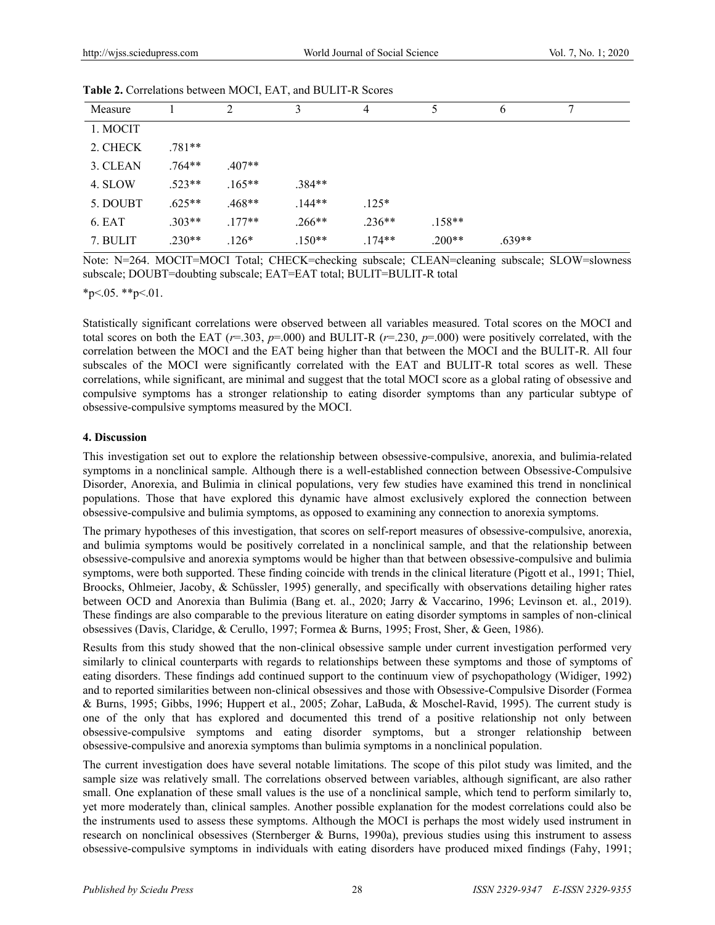|          |          | - --, --- - -, ----- |          |                |          |          |   |
|----------|----------|----------------------|----------|----------------|----------|----------|---|
| Measure  |          | 2                    | 3        | $\overline{4}$ |          | 6        | π |
| 1. MOCIT |          |                      |          |                |          |          |   |
| 2. CHECK | $.781**$ |                      |          |                |          |          |   |
| 3. CLEAN | $.764**$ | $.407**$             |          |                |          |          |   |
| 4. SLOW  | $.523**$ | $.165***$            | $.384**$ |                |          |          |   |
| 5. DOUBT | $.625**$ | $.468**$             | $.144**$ | $.125*$        |          |          |   |
| 6. EAT   | $.303**$ | $.177**$             | $.266**$ | $.236**$       | $.158**$ |          |   |
| 7. BULIT | $.230**$ | $.126*$              | $.150**$ | $.174**$       | $.200**$ | $.639**$ |   |

**Table 2.** Correlations between MOCI, EAT, and BULIT-R Scores

Note: N=264. MOCIT=MOCI Total; CHECK=checking subscale; CLEAN=cleaning subscale; SLOW=slowness subscale; DOUBT=doubting subscale; EAT=EAT total; BULIT=BULIT-R total

 $*_{p<.05}$ .  $*_{p<.01}$ .

Statistically significant correlations were observed between all variables measured. Total scores on the MOCI and total scores on both the EAT ( $r=0.303$ ,  $p=0.000$ ) and BULIT-R ( $r=0.230$ ,  $p=0.000$ ) were positively correlated, with the correlation between the MOCI and the EAT being higher than that between the MOCI and the BULIT-R. All four subscales of the MOCI were significantly correlated with the EAT and BULIT-R total scores as well. These correlations, while significant, are minimal and suggest that the total MOCI score as a global rating of obsessive and compulsive symptoms has a stronger relationship to eating disorder symptoms than any particular subtype of obsessive-compulsive symptoms measured by the MOCI.

# **4. Discussion**

This investigation set out to explore the relationship between obsessive-compulsive, anorexia, and bulimia-related symptoms in a nonclinical sample. Although there is a well-established connection between Obsessive-Compulsive Disorder, Anorexia, and Bulimia in clinical populations, very few studies have examined this trend in nonclinical populations. Those that have explored this dynamic have almost exclusively explored the connection between obsessive-compulsive and bulimia symptoms, as opposed to examining any connection to anorexia symptoms.

The primary hypotheses of this investigation, that scores on self-report measures of obsessive-compulsive, anorexia, and bulimia symptoms would be positively correlated in a nonclinical sample, and that the relationship between obsessive-compulsive and anorexia symptoms would be higher than that between obsessive-compulsive and bulimia symptoms, were both supported. These finding coincide with trends in the clinical literature (Pigott et al., 1991; Thiel, Broocks, Ohlmeier, Jacoby, & Schüssler, 1995) generally, and specifically with observations detailing higher rates between OCD and Anorexia than Bulimia (Bang et. al., 2020; Jarry & Vaccarino, 1996; Levinson et. al., 2019). These findings are also comparable to the previous literature on eating disorder symptoms in samples of non-clinical obsessives (Davis, Claridge, & Cerullo, 1997; Formea & Burns, 1995; Frost, Sher, & Geen, 1986).

Results from this study showed that the non-clinical obsessive sample under current investigation performed very similarly to clinical counterparts with regards to relationships between these symptoms and those of symptoms of eating disorders. These findings add continued support to the continuum view of psychopathology (Widiger, 1992) and to reported similarities between non-clinical obsessives and those with Obsessive-Compulsive Disorder (Formea & Burns, 1995; Gibbs, 1996; Huppert et al., 2005; Zohar, LaBuda, & Moschel-Ravid, 1995). The current study is one of the only that has explored and documented this trend of a positive relationship not only between obsessive-compulsive symptoms and eating disorder symptoms, but a stronger relationship between obsessive-compulsive and anorexia symptoms than bulimia symptoms in a nonclinical population.

The current investigation does have several notable limitations. The scope of this pilot study was limited, and the sample size was relatively small. The correlations observed between variables, although significant, are also rather small. One explanation of these small values is the use of a nonclinical sample, which tend to perform similarly to, yet more moderately than, clinical samples. Another possible explanation for the modest correlations could also be the instruments used to assess these symptoms. Although the MOCI is perhaps the most widely used instrument in research on nonclinical obsessives (Sternberger & Burns, 1990a), previous studies using this instrument to assess obsessive-compulsive symptoms in individuals with eating disorders have produced mixed findings (Fahy, 1991;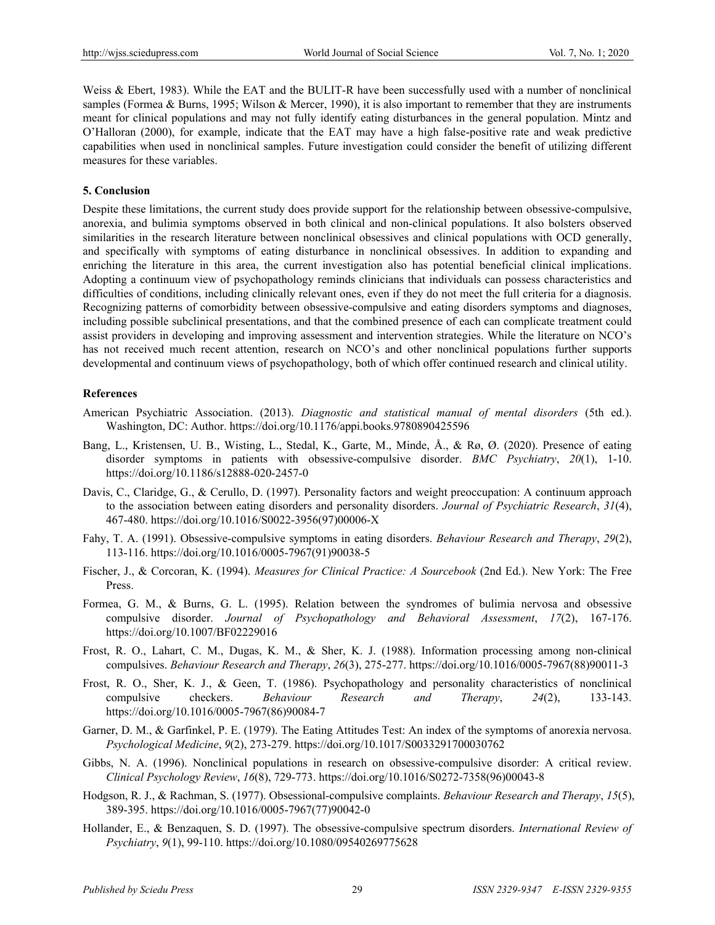Weiss & Ebert, 1983). While the EAT and the BULIT-R have been successfully used with a number of nonclinical samples (Formea & Burns, 1995; Wilson & Mercer, 1990), it is also important to remember that they are instruments meant for clinical populations and may not fully identify eating disturbances in the general population. Mintz and O'Halloran (2000), for example, indicate that the EAT may have a high false-positive rate and weak predictive capabilities when used in nonclinical samples. Future investigation could consider the benefit of utilizing different measures for these variables.

#### **5. Conclusion**

Despite these limitations, the current study does provide support for the relationship between obsessive-compulsive, anorexia, and bulimia symptoms observed in both clinical and non-clinical populations. It also bolsters observed similarities in the research literature between nonclinical obsessives and clinical populations with OCD generally, and specifically with symptoms of eating disturbance in nonclinical obsessives. In addition to expanding and enriching the literature in this area, the current investigation also has potential beneficial clinical implications. Adopting a continuum view of psychopathology reminds clinicians that individuals can possess characteristics and difficulties of conditions, including clinically relevant ones, even if they do not meet the full criteria for a diagnosis. Recognizing patterns of comorbidity between obsessive-compulsive and eating disorders symptoms and diagnoses, including possible subclinical presentations, and that the combined presence of each can complicate treatment could assist providers in developing and improving assessment and intervention strategies. While the literature on NCO's has not received much recent attention, research on NCO's and other nonclinical populations further supports developmental and continuum views of psychopathology, both of which offer continued research and clinical utility.

#### **References**

- American Psychiatric Association. (2013). *Diagnostic and statistical manual of mental disorders* (5th ed.). Washington, DC: Author. https://doi.org/10.1176/appi.books.9780890425596
- Bang, L., Kristensen, U. B., Wisting, L., Stedal, K., Garte, M., Minde, Å., & Rø, Ø. (2020). Presence of eating disorder symptoms in patients with obsessive-compulsive disorder. *BMC Psychiatry*, *20*(1), 1-10. https://doi.org/10.1186/s12888-020-2457-0
- Davis, C., Claridge, G., & Cerullo, D. (1997). Personality factors and weight preoccupation: A continuum approach to the association between eating disorders and personality disorders. *Journal of Psychiatric Research*, *31*(4), 467-480. https://doi.org/10.1016/S0022-3956(97)00006-X
- Fahy, T. A. (1991). Obsessive-compulsive symptoms in eating disorders. *Behaviour Research and Therapy*, *29*(2), 113-116. https://doi.org/10.1016/0005-7967(91)90038-5
- Fischer, J., & Corcoran, K. (1994). *Measures for Clinical Practice: A Sourcebook* (2nd Ed.). New York: The Free Press.
- Formea, G. M., & Burns, G. L. (1995). Relation between the syndromes of bulimia nervosa and obsessive compulsive disorder. *Journal of Psychopathology and Behavioral Assessment*, *17*(2), 167-176. https://doi.org/10.1007/BF02229016
- Frost, R. O., Lahart, C. M., Dugas, K. M., & Sher, K. J. (1988). Information processing among non-clinical compulsives. *Behaviour Research and Therapy*, *26*(3), 275-277. https://doi.org/10.1016/0005-7967(88)90011-3
- Frost, R. O., Sher, K. J., & Geen, T. (1986). Psychopathology and personality characteristics of nonclinical compulsive checkers. *Behaviour Research and Therapy*, *24*(2), 133-143. https://doi.org/10.1016/0005-7967(86)90084-7
- Garner, D. M., & Garfinkel, P. E. (1979). The Eating Attitudes Test: An index of the symptoms of anorexia nervosa. *Psychological Medicine*, *9*(2), 273-279. https://doi.org/10.1017/S0033291700030762
- Gibbs, N. A. (1996). Nonclinical populations in research on obsessive-compulsive disorder: A critical review. *Clinical Psychology Review*, *16*(8), 729-773. https://doi.org/10.1016/S0272-7358(96)00043-8
- Hodgson, R. J., & Rachman, S. (1977). Obsessional-compulsive complaints. *Behaviour Research and Therapy*, *15*(5), 389-395. https://doi.org/10.1016/0005-7967(77)90042-0
- Hollander, E., & Benzaquen, S. D. (1997). The obsessive-compulsive spectrum disorders. *International Review of Psychiatry*, *9*(1), 99-110. https://doi.org/10.1080/09540269775628